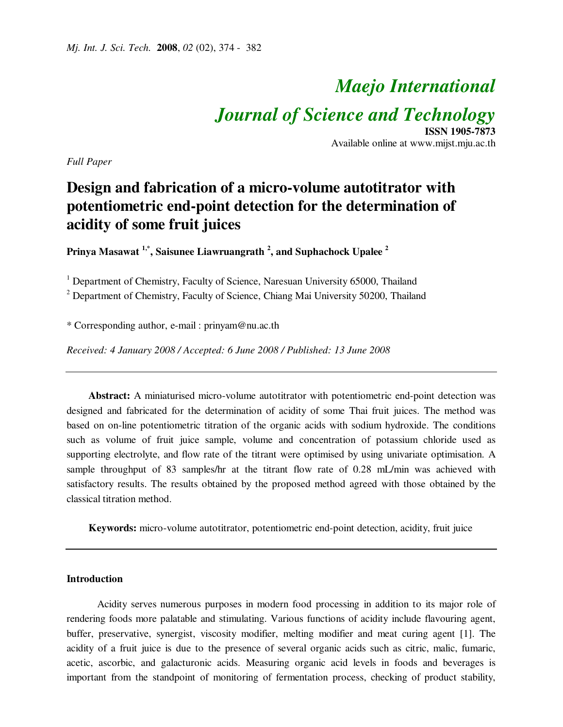# *Maejo International Journal of Science and Technology* **ISSN 1905-7873**

Available online at www.mijst.mju.ac.th

*Full Paper* 

# **Design and fabrication of a micro-volume autotitrator with potentiometric end-point detection for the determination of acidity of some fruit juices**

**Prinya Masawat 1,\*, Saisunee Liawruangrath <sup>2</sup> , and Suphachock Upalee <sup>2</sup>**

<sup>1</sup> Department of Chemistry, Faculty of Science, Naresuan University 65000, Thailand

<sup>2</sup> Department of Chemistry, Faculty of Science, Chiang Mai University 50200, Thailand

\* Corresponding author, e-mail : prinyam@nu.ac.th

*Received: 4 January 2008 / Accepted: 6 June 2008 / Published: 13 June 2008* 

**Abstract:** A miniaturised micro-volume autotitrator with potentiometric end-point detection was designed and fabricated for the determination of acidity of some Thai fruit juices. The method was based on on-line potentiometric titration of the organic acids with sodium hydroxide. The conditions such as volume of fruit juice sample, volume and concentration of potassium chloride used as supporting electrolyte, and flow rate of the titrant were optimised by using univariate optimisation. A sample throughput of 83 samples/hr at the titrant flow rate of 0.28 mL/min was achieved with satisfactory results. The results obtained by the proposed method agreed with those obtained by the classical titration method.

**Keywords:** micro-volume autotitrator, potentiometric end-point detection, acidity, fruit juice

#### **Introduction**

Acidity serves numerous purposes in modern food processing in addition to its major role of rendering foods more palatable and stimulating. Various functions of acidity include flavouring agent, buffer, preservative, synergist, viscosity modifier, melting modifier and meat curing agent [1]. The acidity of a fruit juice is due to the presence of several organic acids such as citric, malic, fumaric, acetic, ascorbic, and galacturonic acids. Measuring organic acid levels in foods and beverages is important from the standpoint of monitoring of fermentation process, checking of product stability,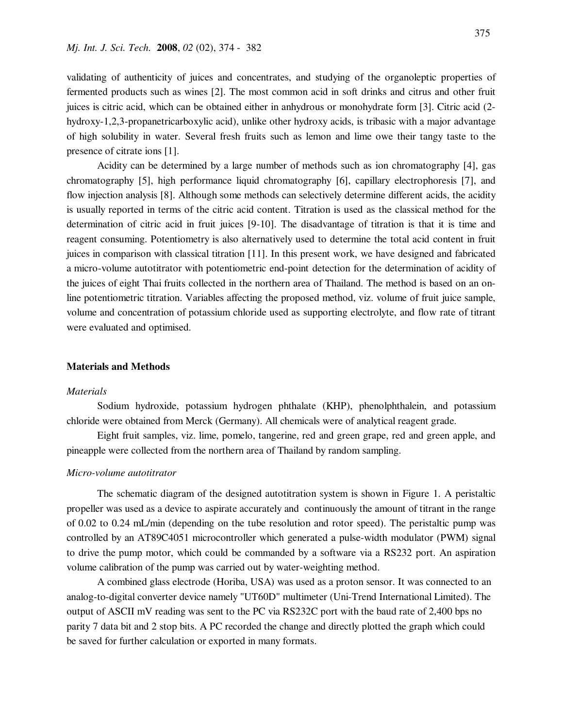validating of authenticity of juices and concentrates, and studying of the organoleptic properties of fermented products such as wines [2]. The most common acid in soft drinks and citrus and other fruit juices is citric acid, which can be obtained either in anhydrous or monohydrate form [3]. Citric acid (2 hydroxy-1,2,3-propanetricarboxylic acid), unlike other hydroxy acids, is tribasic with a major advantage of high solubility in water. Several fresh fruits such as lemon and lime owe their tangy taste to the presence of citrate ions [1].

Acidity can be determined by a large number of methods such as ion chromatography [4], gas chromatography [5], high performance liquid chromatography [6], capillary electrophoresis [7], and flow injection analysis [8]. Although some methods can selectively determine different acids, the acidity is usually reported in terms of the citric acid content. Titration is used as the classical method for the determination of citric acid in fruit juices [9-10]. The disadvantage of titration is that it is time and reagent consuming. Potentiometry is also alternatively used to determine the total acid content in fruit juices in comparison with classical titration [11]. In this present work, we have designed and fabricated a micro-volume autotitrator with potentiometric end-point detection for the determination of acidity of the juices of eight Thai fruits collected in the northern area of Thailand. The method is based on an online potentiometric titration. Variables affecting the proposed method, viz. volume of fruit juice sample, volume and concentration of potassium chloride used as supporting electrolyte, and flow rate of titrant were evaluated and optimised.

#### **Materials and Methods**

#### *Materials*

 Sodium hydroxide, potassium hydrogen phthalate (KHP), phenolphthalein, and potassium chloride were obtained from Merck (Germany). All chemicals were of analytical reagent grade.

 Eight fruit samples, viz. lime, pomelo, tangerine, red and green grape, red and green apple, and pineapple were collected from the northern area of Thailand by random sampling.

#### *Micro-volume autotitrator*

The schematic diagram of the designed autotitration system is shown in Figure 1. A peristaltic propeller was used as a device to aspirate accurately and continuously the amount of titrant in the range of 0.02 to 0.24 mL/min (depending on the tube resolution and rotor speed). The peristaltic pump was controlled by an AT89C4051 microcontroller which generated a pulse-width modulator (PWM) signal to drive the pump motor, which could be commanded by a software via a RS232 port. An aspiration volume calibration of the pump was carried out by water-weighting method.

 A combined glass electrode (Horiba, USA) was used as a proton sensor. It was connected to an analog-to-digital converter device namely "UT60D" multimeter (Uni-Trend International Limited). The output of ASCII mV reading was sent to the PC via RS232C port with the baud rate of 2,400 bps no parity 7 data bit and 2 stop bits. A PC recorded the change and directly plotted the graph which could be saved for further calculation or exported in many formats.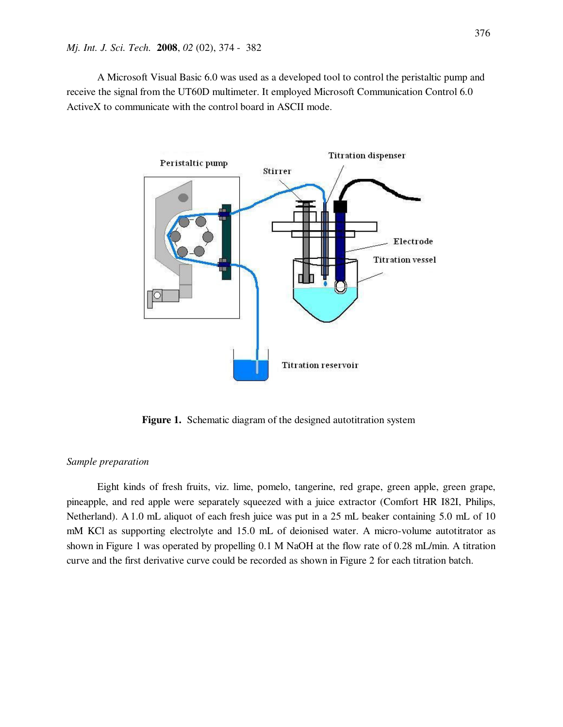A Microsoft Visual Basic 6.0 was used as a developed tool to control the peristaltic pump and receive the signal from the UT60D multimeter. It employed Microsoft Communication Control 6.0 ActiveX to communicate with the control board in ASCII mode.



**Figure 1.** Schematic diagram of the designed autotitration system

#### *Sample preparation*

Eight kinds of fresh fruits, viz. lime, pomelo, tangerine, red grape, green apple, green grape, pineapple, and red apple were separately squeezed with a juice extractor (Comfort HR I82I, Philips, Netherland). A 1.0 mL aliquot of each fresh juice was put in a 25 mL beaker containing 5.0 mL of 10 mM KCl as supporting electrolyte and 15.0 mL of deionised water. A micro-volume autotitrator as shown in Figure 1 was operated by propelling 0.1 M NaOH at the flow rate of 0.28 mL/min. A titration curve and the first derivative curve could be recorded as shown in Figure 2 for each titration batch.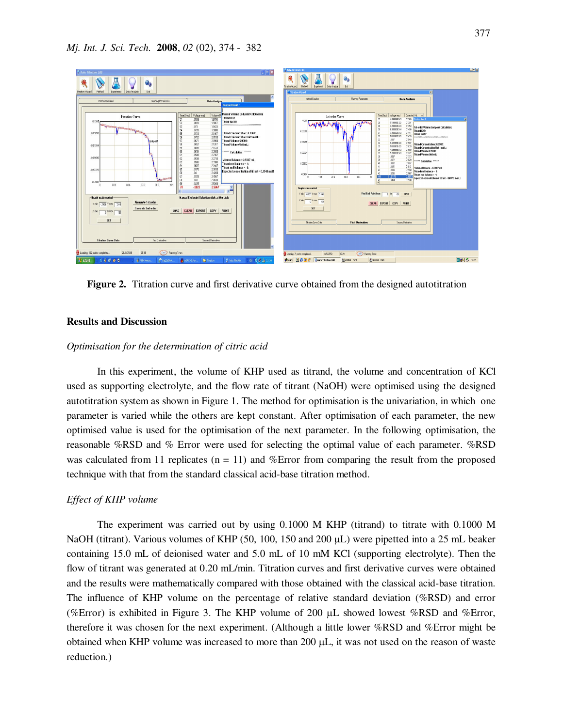

**Figure 2.** Titration curve and first derivative curve obtained from the designed autotitration

#### **Results and Discussion**

#### *Optimisation for the determination of citric acid*

In this experiment, the volume of KHP used as titrand, the volume and concentration of KCl used as supporting electrolyte, and the flow rate of titrant (NaOH) were optimised using the designed autotitration system as shown in Figure 1. The method for optimisation is the univariation, in which one parameter is varied while the others are kept constant. After optimisation of each parameter, the new optimised value is used for the optimisation of the next parameter. In the following optimisation, the reasonable %RSD and % Error were used for selecting the optimal value of each parameter. %RSD was calculated from 11 replicates  $(n = 11)$  and %Error from comparing the result from the proposed technique with that from the standard classical acid-base titration method.

#### *Effect of KHP volume*

 The experiment was carried out by using 0.1000 M KHP (titrand) to titrate with 0.1000 M NaOH (titrant). Various volumes of KHP (50, 100, 150 and 200  $\mu$ L) were pipetted into a 25 mL beaker containing 15.0 mL of deionised water and 5.0 mL of 10 mM KCl (supporting electrolyte). Then the flow of titrant was generated at 0.20 mL/min. Titration curves and first derivative curves were obtained and the results were mathematically compared with those obtained with the classical acid-base titration. The influence of KHP volume on the percentage of relative standard deviation (%RSD) and error (%Error) is exhibited in Figure 3. The KHP volume of 200  $\mu$ L showed lowest %RSD and %Error, therefore it was chosen for the next experiment. (Although a little lower %RSD and %Error might be obtained when KHP volume was increased to more than 200 µL, it was not used on the reason of waste reduction.)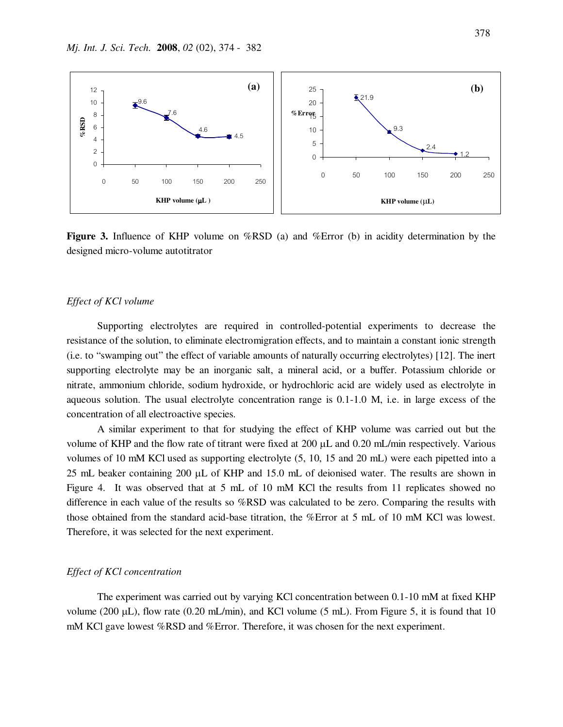

**Figure 3.** Influence of KHP volume on %RSD (a) and %Error (b) in acidity determination by the designed micro-volume autotitrator

#### *Effect of KCl volume*

 Supporting electrolytes are required in controlled-potential experiments to decrease the resistance of the solution, to eliminate electromigration effects, and to maintain a constant ionic strength (i.e. to "swamping out" the effect of variable amounts of naturally occurring electrolytes) [12]. The inert supporting electrolyte may be an inorganic salt, a mineral acid, or a buffer. Potassium chloride or nitrate, ammonium chloride, sodium hydroxide, or hydrochloric acid are widely used as electrolyte in aqueous solution. The usual electrolyte concentration range is 0.1-1.0 M, i.e. in large excess of the concentration of all electroactive species.

 A similar experiment to that for studying the effect of KHP volume was carried out but the volume of KHP and the flow rate of titrant were fixed at 200 µL and 0.20 mL/min respectively. Various volumes of 10 mM KCl used as supporting electrolyte (5, 10, 15 and 20 mL) were each pipetted into a 25 mL beaker containing 200 µL of KHP and 15.0 mL of deionised water. The results are shown in Figure 4. It was observed that at 5 mL of 10 mM KCl the results from 11 replicates showed no difference in each value of the results so %RSD was calculated to be zero. Comparing the results with those obtained from the standard acid-base titration, the %Error at 5 mL of 10 mM KCl was lowest. Therefore, it was selected for the next experiment.

#### *Effect of KCl concentration*

 The experiment was carried out by varying KCl concentration between 0.1-10 mM at fixed KHP volume (200  $\mu$ L), flow rate (0.20 mL/min), and KCl volume (5 mL). From Figure 5, it is found that 10 mM KCl gave lowest %RSD and %Error. Therefore, it was chosen for the next experiment.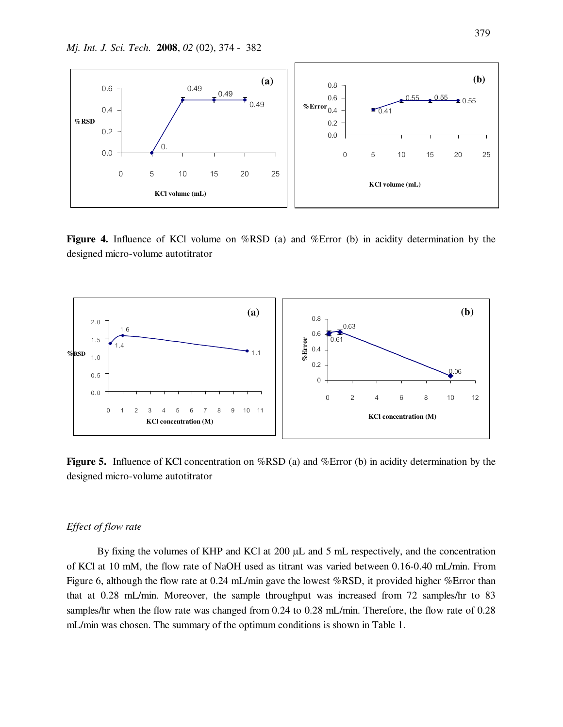

**Figure 4.** Influence of KCl volume on %RSD (a) and %Error (b) in acidity determination by the designed micro-volume autotitrator



**Figure 5.** Influence of KCl concentration on %RSD (a) and %Error (b) in acidity determination by the designed micro-volume autotitrator

## *Effect of flow rate*

 By fixing the volumes of KHP and KCl at 200 µL and 5 mL respectively, and the concentration of KCl at 10 mM, the flow rate of NaOH used as titrant was varied between 0.16-0.40 mL/min. From Figure 6, although the flow rate at 0.24 mL/min gave the lowest %RSD, it provided higher %Error than that at 0.28 mL/min. Moreover, the sample throughput was increased from 72 samples/hr to 83 samples/hr when the flow rate was changed from 0.24 to 0.28 mL/min. Therefore, the flow rate of 0.28 mL/min was chosen. The summary of the optimum conditions is shown in Table 1.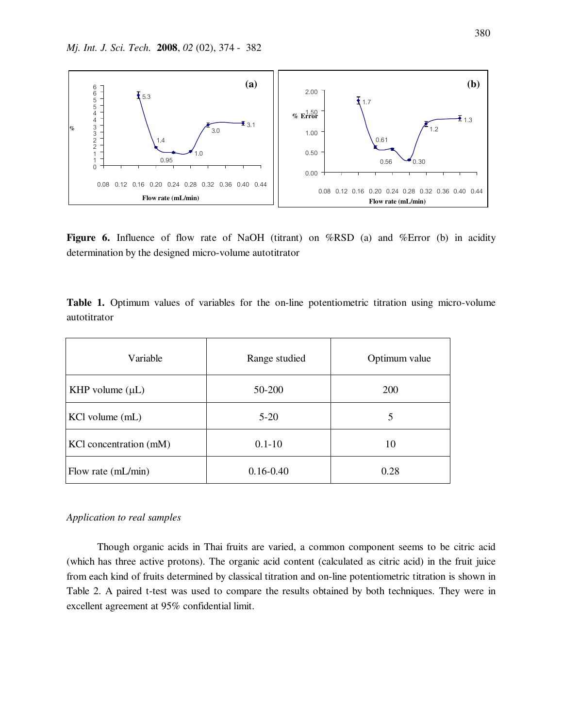

Figure 6. Influence of flow rate of NaOH (titrant) on %RSD (a) and %Error (b) in acidity determination by the designed micro-volume autotitrator

|              |  |  |  |  | <b>Table 1.</b> Optimum values of variables for the on-line potentiometric titration using micro-volume |  |  |
|--------------|--|--|--|--|---------------------------------------------------------------------------------------------------------|--|--|
| autotitrator |  |  |  |  |                                                                                                         |  |  |

| Variable               | Range studied | Optimum value |  |  |  |
|------------------------|---------------|---------------|--|--|--|
| KHP volume $(\mu L)$   | 50-200        | 200           |  |  |  |
| KCl volume (mL)        | $5-20$        | 5             |  |  |  |
| KCl concentration (mM) | $0.1 - 10$    | 10            |  |  |  |
| Flow rate (mL/min)     | $0.16 - 0.40$ | 0.28          |  |  |  |

## *Application to real samples*

 Though organic acids in Thai fruits are varied, a common component seems to be citric acid (which has three active protons). The organic acid content (calculated as citric acid) in the fruit juice from each kind of fruits determined by classical titration and on-line potentiometric titration is shown in Table 2. A paired t-test was used to compare the results obtained by both techniques. They were in excellent agreement at 95% confidential limit.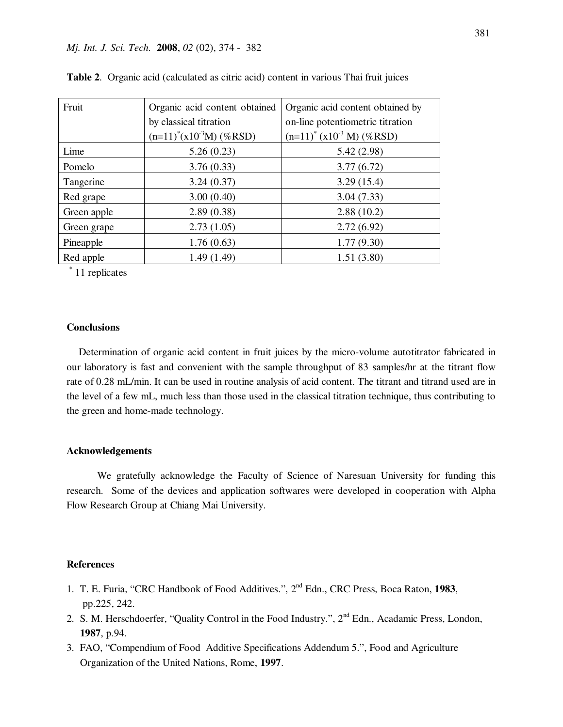| Fruit       | Organic acid content obtained | Organic acid content obtained by          |  |  |  |  |
|-------------|-------------------------------|-------------------------------------------|--|--|--|--|
|             | by classical titration        | on-line potentiometric titration          |  |  |  |  |
|             | $(n=11)^*(x10^{-3}M)$ (%RSD)  | $(n=11)^{*}$ (x10 <sup>-3</sup> M) (%RSD) |  |  |  |  |
| Lime        | 5.26(0.23)                    | 5.42 (2.98)                               |  |  |  |  |
| Pomelo      | 3.76(0.33)                    | 3.77(6.72)                                |  |  |  |  |
| Tangerine   | 3.24(0.37)                    | 3.29(15.4)                                |  |  |  |  |
| Red grape   | 3.00(0.40)                    | 3.04(7.33)                                |  |  |  |  |
| Green apple | 2.89(0.38)                    | 2.88(10.2)                                |  |  |  |  |
| Green grape | 2.73(1.05)                    | 2.72(6.92)                                |  |  |  |  |
| Pineapple   | 1.76(0.63)                    | 1.77(9.30)                                |  |  |  |  |
| Red apple   | 1.49(1.49)                    | 1.51(3.80)                                |  |  |  |  |

|  | Table 2. Organic acid (calculated as citric acid) content in various Thai fruit juices |  |  |  |  |  |  |  |  |  |
|--|----------------------------------------------------------------------------------------|--|--|--|--|--|--|--|--|--|
|--|----------------------------------------------------------------------------------------|--|--|--|--|--|--|--|--|--|

\* 11 replicates

#### **Conclusions**

Determination of organic acid content in fruit juices by the micro-volume autotitrator fabricated in our laboratory is fast and convenient with the sample throughput of 83 samples/hr at the titrant flow rate of 0.28 mL/min. It can be used in routine analysis of acid content. The titrant and titrand used are in the level of a few mL, much less than those used in the classical titration technique, thus contributing to the green and home-made technology.

#### **Acknowledgements**

We gratefully acknowledge the Faculty of Science of Naresuan University for funding this research. Some of the devices and application softwares were developed in cooperation with Alpha Flow Research Group at Chiang Mai University.

#### **References**

- 1. T. E. Furia, "CRC Handbook of Food Additives.", 2nd Edn., CRC Press, Boca Raton, **1983**, pp.225, 242.
- 2. S. M. Herschdoerfer, "Quality Control in the Food Industry.", 2<sup>nd</sup> Edn., Acadamic Press, London,  **1987**, p.94.
- 3. FAO, "Compendium of Food Additive Specifications Addendum 5.", Food and Agriculture Organization of the United Nations, Rome, **1997**.